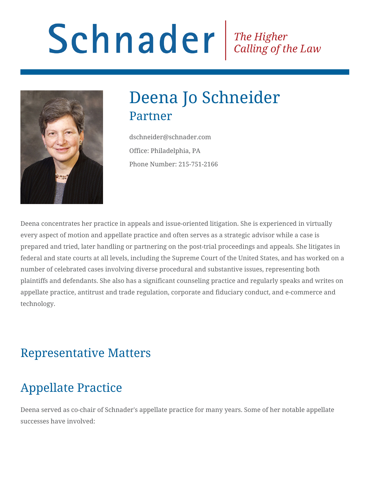# Schnader Fine Higher Calling of the Law



# Deena Jo Schneider Partner

dschneider@schnader.com Office: Philadelphia, PA Phone Number: 215-751-2166

Deena concentrates her practice in appeals and issue-oriented litigation. She is experienced in virtually every aspect of motion and appellate practice and often serves as a strategic advisor while a case is prepared and tried, later handling or partnering on the post-trial proceedings and appeals. She litigates in federal and state courts at all levels, including the Supreme Court of the United States, and has worked on a number of celebrated cases involving diverse procedural and substantive issues, representing both plaintiffs and defendants. She also has a significant counseling practice and regularly speaks and writes on appellate practice, antitrust and trade regulation, corporate and fiduciary conduct, and e-commerce and technology.

#### Representative Matters

## Appellate Practice

Deena served as co-chair of Schnader's appellate practice for many years. Some of her notable appellate successes have involved: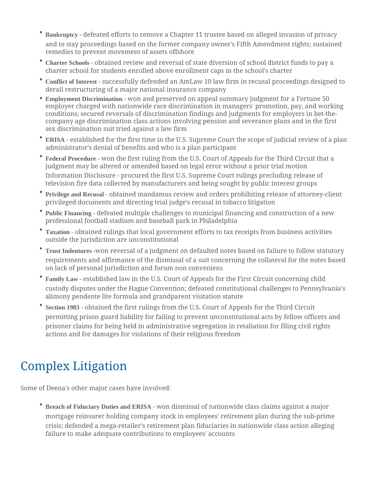- **Bankruptcy** defeated efforts to remove a Chapter 11 trustee based on alleged invasion of privacy and to stay proceedings based on the former company owner's Fifth Amendment rights; sustained remedies to prevent movement of assets offshore
- **Charter Schools** obtained review and reversal of state diversion of school district funds to pay a charter school for students enrolled above enrollment caps in the school's charter
- **Conflict of Interest** successfully defended an AmLaw 10 law firm in recusal proceedings designed to derail restructuring of a major national insurance company
- **Employment Discrimination** won and preserved on appeal summary judgment for a Fortune 50 employer charged with nationwide race discrimination in managers' promotion, pay, and working conditions; secured reversals of discrimination findings and judgments for employers in bet-thecompany age discrimination class actions involving pension and severance plans and in the first sex discrimination suit tried against a law firm
- **ERISA** established for the first time in the U.S. Supreme Court the scope of judicial review of a plan administrator's denial of benefits and who is a plan participant
- **Federal Procedure -** won the first ruling from the U.S. Court of Appeals for the Third Circuit that a judgment may be altered or amended based on legal error without a prior trial motion Information Disclosure - procured the first U.S. Supreme Court rulings precluding release of television fire data collected by manufacturers and being sought by public interest groups
- **Privilege and Recusal** obtained mandamus review and orders prohibiting release of attorney-client privileged documents and directing trial judge's recusal in tobacco litigation
- **Public Financing -** defeated multiple challenges to municipal financing and construction of a new professional football stadium and baseball park in Philadelphia
- **Taxation** obtained rulings that local government efforts to tax receipts from business activities outside the jurisdiction are unconstitutional
- **Trust Indentures** -won reversal of a judgment on defaulted notes based on failure to follow statutory requirements and affirmance of the dismissal of a suit concerning the collateral for the notes based on lack of personal jurisdiction and forum non conveniens
- **Family Law** established law in the U.S. Court of Appeals for the First Circuit concerning child custody disputes under the Hague Convention; defeated constitutional challenges to Pennsylvania's alimony pendente lite formula and grandparent visitation statute
- **Section 1983** obtained the first rulings from the U.S. Court of Appeals for the Third Circuit permitting prison guard liability for failing to prevent unconstitutional acts by fellow officers and prisoner claims for being held in administrative segregation in retaliation for filing civil rights actions and for damages for violations of their religious freedom

## Complex Litigation

Some of Deena's other major cases have involved:

**Breach of Fiduciary Duties and ERISA** - won dismissal of nationwide class claims against a major mortgage reinsurer holding company stock in employees' retirement plan during the sub-prime crisis; defended a mega-retailer's retirement plan fiduciaries in nationwide class action alleging failure to make adequate contributions to employees' accounts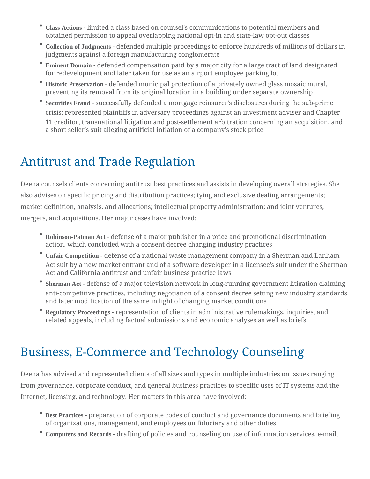- **Class Actions** limited a class based on counsel's communications to potential members and obtained permission to appeal overlapping national opt-in and state-law opt-out classes
- **Collection of Judgments** defended multiple proceedings to enforce hundreds of millions of dollars in judgments against a foreign manufacturing conglomerate
- **Eminent Domain** defended compensation paid by a major city for a large tract of land designated for redevelopment and later taken for use as an airport employee parking lot
- **Historic Preservation -** defended municipal protection of a privately owned glass mosaic mural, preventing its removal from its original location in a building under separate ownership
- **Securities Fraud** successfully defended a mortgage reinsurer's disclosures during the sub-prime crisis; represented plaintiffs in adversary proceedings against an investment adviser and Chapter 11 creditor, transnational litigation and post-settlement arbitration concerning an acquisition, and a short seller's suit alleging artificial inflation of a company's stock price

### Antitrust and Trade Regulation

Deena counsels clients concerning antitrust best practices and assists in developing overall strategies. She also advises on specific pricing and distribution practices; tying and exclusive dealing arrangements; market definition, analysis, and allocations; intellectual property administration; and joint ventures, mergers, and acquisitions. Her major cases have involved:

- **Robinson-Patman Act** defense of a major publisher in a price and promotional discrimination action, which concluded with a consent decree changing industry practices
- **Unfair Competition -** defense of a national waste management company in a Sherman and Lanham Act suit by a new market entrant and of a software developer in a licensee's suit under the Sherman Act and California antitrust and unfair business practice laws
- **Sherman Act** defense of a major television network in long-running government litigation claiming anti-competitive practices, including negotiation of a consent decree setting new industry standards and later modification of the same in light of changing market conditions
- **Regulatory Proceedings** representation of clients in administrative rulemakings, inquiries, and related appeals, including factual submissions and economic analyses as well as briefs

### Business, E-Commerce and Technology Counseling

Deena has advised and represented clients of all sizes and types in multiple industries on issues ranging from governance, corporate conduct, and general business practices to specific uses of IT systems and the Internet, licensing, and technology. Her matters in this area have involved:

- **Best Practices** preparation of corporate codes of conduct and governance documents and briefing of organizations, management, and employees on fiduciary and other duties
- **Computers and Records** drafting of policies and counseling on use of information services, e-mail,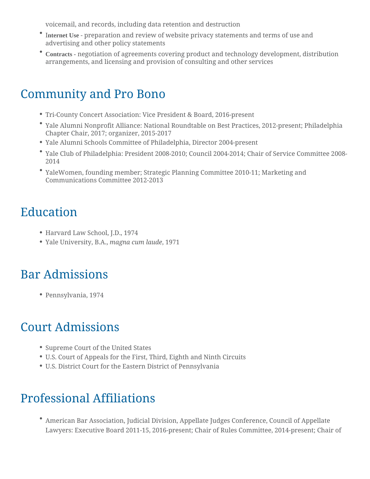voicemail, and records, including data retention and destruction

- I**nternet Use** preparation and review of website privacy statements and terms of use and advertising and other policy statements
- **Contracts -** negotiation of agreements covering product and technology development, distribution arrangements, and licensing and provision of consulting and other services

#### Community and Pro Bono

- Tri-County Concert Association: Vice President & Board, 2016-present
- Yale Alumni Nonprofit Alliance: National Roundtable on Best Practices, 2012-present; Philadelphia Chapter Chair, 2017; organizer, 2015-2017
- Yale Alumni Schools Committee of Philadelphia, Director 2004-present
- Yale Club of Philadelphia: President 2008-2010; Council 2004-2014; Chair of Service Committee 2008- 2014
- YaleWomen, founding member; Strategic Planning Committee 2010-11; Marketing and Communications Committee 2012-2013

## Education

- Harvard Law School, J.D., 1974
- Yale University, B.A., *magna cum laude*, 1971

### Bar Admissions

Pennsylvania, 1974

### Court Admissions

- Supreme Court of the United States
- U.S. Court of Appeals for the First, Third, Eighth and Ninth Circuits
- U.S. District Court for the Eastern District of Pennsylvania

## Professional Affiliations

American Bar Association, Judicial Division, Appellate Judges Conference, Council of Appellate Lawyers: Executive Board 2011-15, 2016-present; Chair of Rules Committee, 2014-present; Chair of